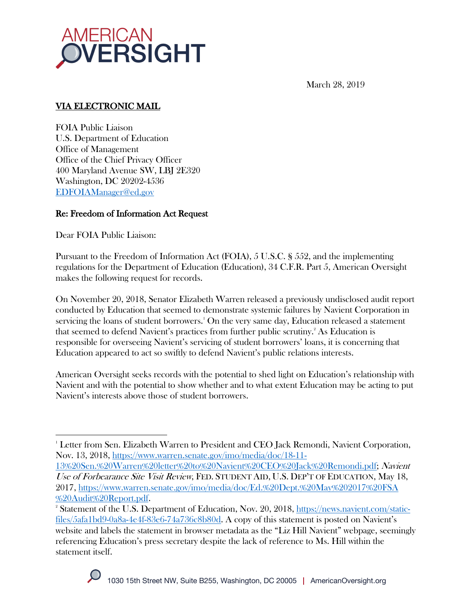

March 28, 2019

## VIA ELECTRONIC MAIL

FOIA Public Liaison U.S. Department of Education Office of Management Office of the Chief Privacy Officer 400 Maryland Avenue SW, LBJ 2E320 Washington, DC 20202-4536 EDFOIAManager@ed.gov

### Re: Freedom of Information Act Request

Dear FOIA Public Liaison:

Pursuant to the Freedom of Information Act (FOIA), 5 U.S.C. § 552, and the implementing regulations for the Department of Education (Education), 34 C.F.R. Part 5, American Oversight makes the following request for records.

On November 20, 2018, Senator Elizabeth Warren released a previously undisclosed audit report conducted by Education that seemed to demonstrate systemic failures by Navient Corporation in servicing the loans of student borrowers.<sup>1</sup> On the very same day, Education released a statement that seemed to defend Navient's practices from further public scrutiny. 2 As Education is responsible for overseeing Navient's servicing of student borrowers' loans, it is concerning that Education appeared to act so swiftly to defend Navient's public relations interests.

American Oversight seeks records with the potential to shed light on Education's relationship with Navient and with the potential to show whether and to what extent Education may be acting to put Navient's interests above those of student borrowers.

<sup>&</sup>lt;sup>2</sup> Statement of the U.S. Department of Education, Nov. 20, 2018, https://news.navient.com/staticfiles/5afa1bd9-0a8a-4e4f-83e6-74a736c8b80d. A copy of this statement is posted on Navient's website and labels the statement in browser metadata as the "Liz Hill Navient" webpage, seemingly referencing Education's press secretary despite the lack of reference to Ms. Hill within the statement itself.



<sup>&</sup>lt;sup>1</sup> Letter from Sen. Elizabeth Warren to President and CEO Jack Remondi, Navient Corporation, Nov. 13, 2018, https://www.warren.senate.gov/imo/media/doc/18-11-

<sup>13%20</sup>Sen.%20Warren%20letter%20to%20Navient%20CEO%20Jack%20Remondi.pdf; Navient Use of Forbearance Site Visit Review, FED. STUDENT AID, U.S. DEP'T OF EDUCATION, May 18, 2017, https://www.warren.senate.gov/imo/media/doc/Ed.%20Dept.%20May%202017%20FSA %20Audit%20Report.pdf.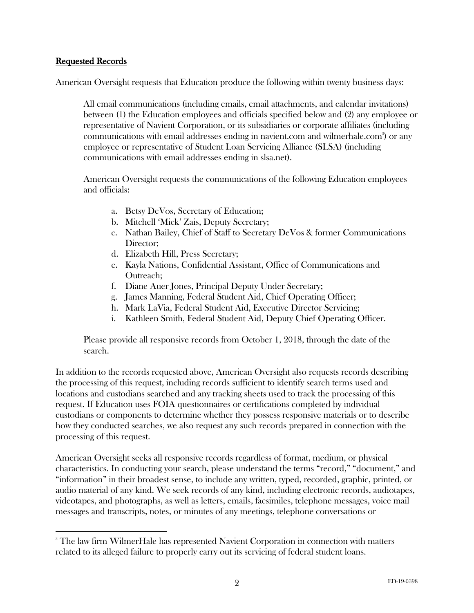#### Requested Records

American Oversight requests that Education produce the following within twenty business days:

All email communications (including emails, email attachments, and calendar invitations) between (1) the Education employees and officials specified below and (2) any employee or representative of Navient Corporation, or its subsidiaries or corporate affiliates (including communications with email addresses ending in navient.com and wilmerhale.com3) or any employee or representative of Student Loan Servicing Alliance (SLSA) (including communications with email addresses ending in slsa.net).

American Oversight requests the communications of the following Education employees and officials:

- a. Betsy DeVos, Secretary of Education;
- b. Mitchell 'Mick' Zais, Deputy Secretary;
- c. Nathan Bailey, Chief of Staff to Secretary DeVos & former Communications Director;
- d. Elizabeth Hill, Press Secretary;
- e. Kayla Nations, Confidential Assistant, Office of Communications and Outreach;
- f. Diane Auer Jones, Principal Deputy Under Secretary;
- g. James Manning, Federal Student Aid, Chief Operating Officer;
- h. Mark LaVia, Federal Student Aid, Executive Director Servicing;
- i. Kathleen Smith, Federal Student Aid, Deputy Chief Operating Officer.

Please provide all responsive records from October 1, 2018, through the date of the search.

In addition to the records requested above, American Oversight also requests records describing the processing of this request, including records sufficient to identify search terms used and locations and custodians searched and any tracking sheets used to track the processing of this request. If Education uses FOIA questionnaires or certifications completed by individual custodians or components to determine whether they possess responsive materials or to describe how they conducted searches, we also request any such records prepared in connection with the processing of this request.

American Oversight seeks all responsive records regardless of format, medium, or physical characteristics. In conducting your search, please understand the terms "record," "document," and "information" in their broadest sense, to include any written, typed, recorded, graphic, printed, or audio material of any kind. We seek records of any kind, including electronic records, audiotapes, videotapes, and photographs, as well as letters, emails, facsimiles, telephone messages, voice mail messages and transcripts, notes, or minutes of any meetings, telephone conversations or

<sup>&</sup>lt;sup>3</sup> The law firm WilmerHale has represented Navient Corporation in connection with matters related to its alleged failure to properly carry out its servicing of federal student loans.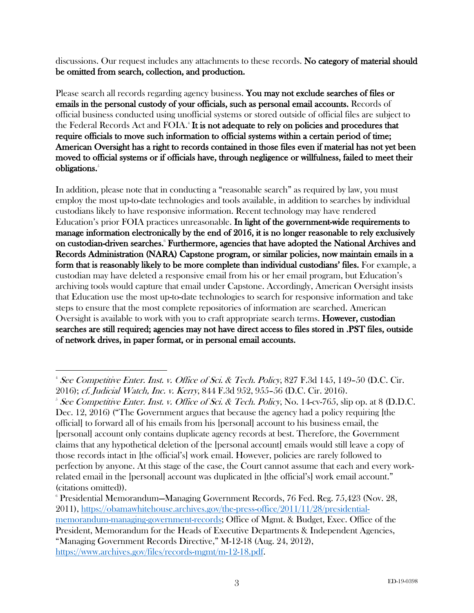discussions. Our request includes any attachments to these records. No category of material should be omitted from search, collection, and production.

Please search all records regarding agency business. You may not exclude searches of files or emails in the personal custody of your officials, such as personal email accounts. Records of official business conducted using unofficial systems or stored outside of official files are subject to the Federal Records Act and FOIA.<sup>4</sup> It is not adequate to rely on policies and procedures that require officials to move such information to official systems within a certain period of time; American Oversight has a right to records contained in those files even if material has not yet been moved to official systems or if officials have, through negligence or willfulness, failed to meet their obligations.<sup>5</sup>

In addition, please note that in conducting a "reasonable search" as required by law, you must employ the most up-to-date technologies and tools available, in addition to searches by individual custodians likely to have responsive information. Recent technology may have rendered Education's prior FOIA practices unreasonable. In light of the government-wide requirements to manage information electronically by the end of 2016, it is no longer reasonable to rely exclusively on custodian-driven searches.<sup>6</sup> Furthermore, agencies that have adopted the National Archives and Records Administration (NARA) Capstone program, or similar policies, now maintain emails in a form that is reasonably likely to be more complete than individual custodians' files. For example, a custodian may have deleted a responsive email from his or her email program, but Education's archiving tools would capture that email under Capstone. Accordingly, American Oversight insists that Education use the most up-to-date technologies to search for responsive information and take steps to ensure that the most complete repositories of information are searched. American Oversight is available to work with you to craft appropriate search terms. **However, custodian** searches are still required; agencies may not have direct access to files stored in .PST files, outside of network drives, in paper format, or in personal email accounts.

https://www.archives.gov/files/records-mgmt/m-12-18.pdf.

 <sup>4</sup> <sup>4</sup> See Competitive Enter. Inst. v. Office of Sci. & Tech. Policy, 827 F.3d 145, 149–50 (D.C. Cir. 2016); cf. Judicial Watch, Inc. v. Kerry, 844 F.3d 952, 955–56 (D.C. Cir. 2016). 5

<sup>&</sup>lt;sup>5</sup> See Competitive Enter. Inst. v. Office of Sci. & Tech. Policy, No. 14-cv-765, slip op. at 8 (D.D.C. Dec. 12, 2016) ("The Government argues that because the agency had a policy requiring [the official] to forward all of his emails from his [personal] account to his business email, the [personal] account only contains duplicate agency records at best. Therefore, the Government claims that any hypothetical deletion of the [personal account] emails would still leave a copy of those records intact in [the official's] work email. However, policies are rarely followed to perfection by anyone. At this stage of the case, the Court cannot assume that each and every workrelated email in the [personal] account was duplicated in [the official's] work email account." (citations omitted)).

<sup>6</sup> Presidential Memorandum—Managing Government Records, 76 Fed. Reg. 75,423 (Nov. 28, 2011), https://obamawhitehouse.archives.gov/the-press-office/2011/11/28/presidentialmemorandum-managing-government-records; Office of Mgmt. & Budget, Exec. Office of the President, Memorandum for the Heads of Executive Departments & Independent Agencies, "Managing Government Records Directive," M-12-18 (Aug. 24, 2012),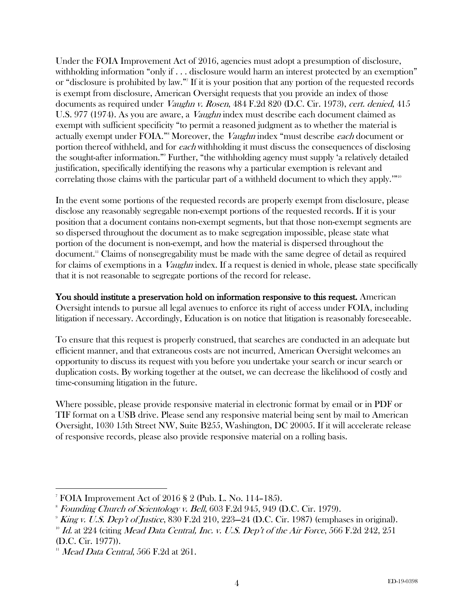Under the FOIA Improvement Act of 2016, agencies must adopt a presumption of disclosure, withholding information "only if . . . disclosure would harm an interest protected by an exemption" or "disclosure is prohibited by law."7 If it is your position that any portion of the requested records is exempt from disclosure, American Oversight requests that you provide an index of those documents as required under *Vaughn v. Rosen*, 484 F.2d 820 (D.C. Cir. 1973), *cert. denied*, 415 U.S. 977 (1974). As you are aware, a *Vaughn* index must describe each document claimed as exempt with sufficient specificity "to permit a reasoned judgment as to whether the material is actually exempt under FOIA."<sup>8</sup> Moreover, the *Vaughn* index "must describe each document or portion thereof withheld, and for each withholding it must discuss the consequences of disclosing the sought-after information."9 Further, "the withholding agency must supply 'a relatively detailed justification, specifically identifying the reasons why a particular exemption is relevant and correlating those claims with the particular part of a withheld document to which they apply.'"<sup>10</sup>

In the event some portions of the requested records are properly exempt from disclosure, please disclose any reasonably segregable non-exempt portions of the requested records. If it is your position that a document contains non-exempt segments, but that those non-exempt segments are so dispersed throughout the document as to make segregation impossible, please state what portion of the document is non-exempt, and how the material is dispersed throughout the document.11 Claims of nonsegregability must be made with the same degree of detail as required for claims of exemptions in a *Vaughn* index. If a request is denied in whole, please state specifically that it is not reasonable to segregate portions of the record for release.

You should institute a preservation hold on information responsive to this request. American Oversight intends to pursue all legal avenues to enforce its right of access under FOIA, including litigation if necessary. Accordingly, Education is on notice that litigation is reasonably foreseeable.

To ensure that this request is properly construed, that searches are conducted in an adequate but efficient manner, and that extraneous costs are not incurred, American Oversight welcomes an opportunity to discuss its request with you before you undertake your search or incur search or duplication costs. By working together at the outset, we can decrease the likelihood of costly and time-consuming litigation in the future.

Where possible, please provide responsive material in electronic format by email or in PDF or TIF format on a USB drive. Please send any responsive material being sent by mail to American Oversight, 1030 15th Street NW, Suite B255, Washington, DC 20005. If it will accelerate release of responsive records, please also provide responsive material on a rolling basis.

 <sup>7</sup> FOIA Improvement Act of 2016 § 2 (Pub. L. No. 114–185).

<sup>8</sup> Founding Church of Scientology v. Bell, 603 F.2d 945, 949 (D.C. Cir. 1979).

 $9$  King v. U.S. Dep't of Justice, 830 F.2d 210, 223–24 (D.C. Cir. 1987) (emphases in original).

 $^{10}$  Id. at 224 (citing Mead Data Central, Inc. v. U.S. Dep't of the Air Force, 566 F.2d 242, 251 (D.C. Cir. 1977)).

 $11$  Mead Data Central, 566 F.2d at 261.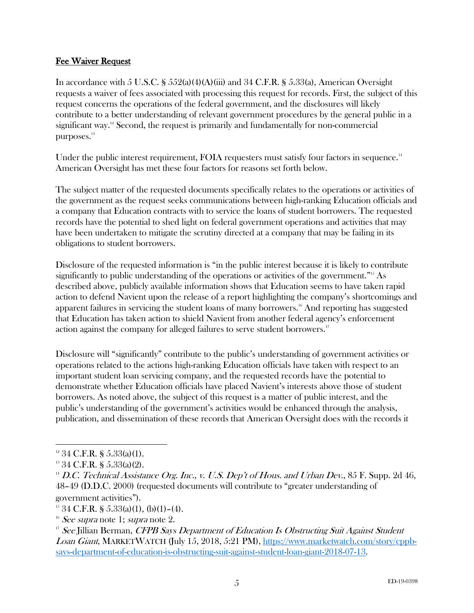### Fee Waiver Request

In accordance with 5 U.S.C. §  $552(a)(4)(A)(iii)$  and 34 C.F.R. §  $5.33(a)$ , American Oversight requests a waiver of fees associated with processing this request for records. First, the subject of this request concerns the operations of the federal government, and the disclosures will likely contribute to a better understanding of relevant government procedures by the general public in a significant way. $12$  Second, the request is primarily and fundamentally for non-commercial purposes.<sup>13</sup>

Under the public interest requirement, FOIA requesters must satisfy four factors in sequence.<sup>14</sup> American Oversight has met these four factors for reasons set forth below.

The subject matter of the requested documents specifically relates to the operations or activities of the government as the request seeks communications between high-ranking Education officials and a company that Education contracts with to service the loans of student borrowers. The requested records have the potential to shed light on federal government operations and activities that may have been undertaken to mitigate the scrutiny directed at a company that may be failing in its obligations to student borrowers.

Disclosure of the requested information is "in the public interest because it is likely to contribute significantly to public understanding of the operations or activities of the government."<sup>15</sup> As described above, publicly available information shows that Education seems to have taken rapid action to defend Navient upon the release of a report highlighting the company's shortcomings and apparent failures in servicing the student loans of many borrowers.<sup>16</sup> And reporting has suggested that Education has taken action to shield Navient from another federal agency's enforcement action against the company for alleged failures to serve student borrowers.<sup>17</sup>

Disclosure will "significantly" contribute to the public's understanding of government activities or operations related to the actions high-ranking Education officials have taken with respect to an important student loan servicing company, and the requested records have the potential to demonstrate whether Education officials have placed Navient's interests above those of student borrowers. As noted above, the subject of this request is a matter of public interest, and the public's understanding of the government's activities would be enhanced through the analysis, publication, and dissemination of these records that American Oversight does with the records it

government activities").

 $12$  34 C.F.R. § 5.33(a)(1).

 $13$  34 C.F.R. § 5.33(a)(2).

 $14$  D.C. Technical Assistance Org. Inc., v. U.S. Dep't of Hous. and Urban Dev., 85 F. Supp. 2d 46, 48–49 (D.D.C. 2000) (requested documents will contribute to "greater understanding of

 $15$  34 C.F.R. § 5.33(a)(1), (b)(1)–(4).

 $16$  See supra note 1; supra note 2.

<sup>&</sup>lt;sup>17</sup> See Jillian Berman, CFPB Says Department of Education Is Obstructing Suit Against Student Loan Giant, MARKETWATCH (July 15, 2018, 5:21 PM), https://www.marketwatch.com/story/cppbsays-department-of-education-is-obstructing-suit-against-student-loan-giant-2018-07-13.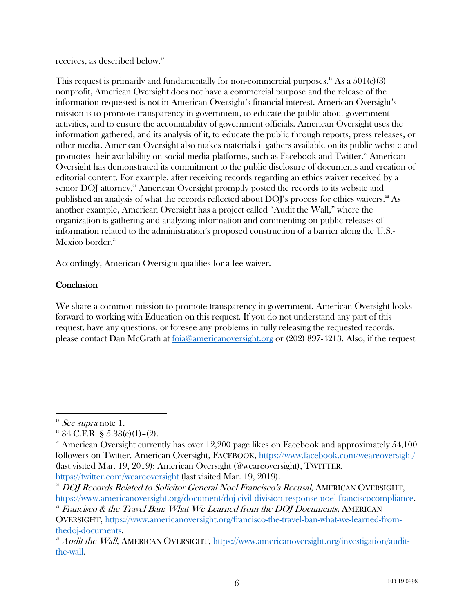receives, as described below. 18

This request is primarily and fundamentally for non-commercial purposes.<sup>19</sup> As a  $501(c)(3)$ nonprofit, American Oversight does not have a commercial purpose and the release of the information requested is not in American Oversight's financial interest. American Oversight's mission is to promote transparency in government, to educate the public about government activities, and to ensure the accountability of government officials. American Oversight uses the information gathered, and its analysis of it, to educate the public through reports, press releases, or other media. American Oversight also makes materials it gathers available on its public website and promotes their availability on social media platforms, such as Facebook and Twitter.<sup>20</sup> American Oversight has demonstrated its commitment to the public disclosure of documents and creation of editorial content. For example, after receiving records regarding an ethics waiver received by a senior  $\text{DOI}$  attorney,<sup>21</sup> American Oversight promptly posted the records to its website and published an analysis of what the records reflected about  $DOJ$ 's process for ethics waivers.<sup>22</sup> As another example, American Oversight has a project called "Audit the Wall," where the organization is gathering and analyzing information and commenting on public releases of information related to the administration's proposed construction of a barrier along the U.S.- Mexico border.<sup>23</sup>

Accordingly, American Oversight qualifies for a fee waiver.

# **Conclusion**

We share a common mission to promote transparency in government. American Oversight looks forward to working with Education on this request. If you do not understand any part of this request, have any questions, or foresee any problems in fully releasing the requested records, please contact Dan McGrath at foia@americanoversight.org or (202) 897-4213. Also, if the request

 $18$  See supra note 1.

 $19\,34$  C.F.R. § 5.33(c)(1)-(2).

<sup>&</sup>lt;sup>20</sup> American Oversight currently has over  $12,200$  page likes on Facebook and approximately  $54,100$ followers on Twitter. American Oversight, FACEBOOK, https://www.facebook.com/weareoversight/ (last visited Mar. 19, 2019); American Oversight (@weareoversight), TWITTER, https://twitter.com/weareoversight (last visited Mar. 19, 2019).

<sup>&</sup>lt;sup>21</sup> DOJ Records Related to Solicitor General Noel Francisco's Recusal, AMERICAN OVERSIGHT, https://www.americanoversight.org/document/doj-civil-division-response-noel-franciscocompliance.

 $22$  Francisco & the Travel Ban: What We Learned from the DOJ Documents, AMERICAN OVERSIGHT, https://www.americanoversight.org/francisco-the-travel-ban-what-we-learned-fromthedoj-documents.

 $^{23}$  Audit the Wall, AMERICAN OVERSIGHT, https://www.americanoversight.org/investigation/auditthe-wall.